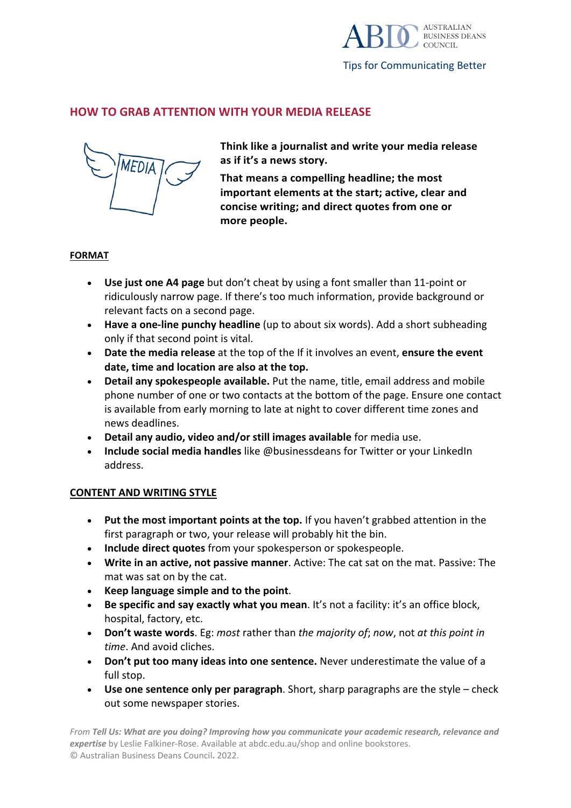

## **HOW TO GRAB ATTENTION WITH YOUR MEDIA RELEASE**



**Think like a journalist and write your media release as if it's a news story.**

**That means a compelling headline; the most important elements at the start; active, clear and concise writing; and direct quotes from one or more people.**

## **FORMAT**

- **Use just one A4 page** but don't cheat by using a font smaller than 11-point or ridiculously narrow page. If there's too much information, provide background or relevant facts on a second page.
- **Have a one-line punchy headline** (up to about six words). Add a short subheading only if that second point is vital.
- **Date the media release** at the top of the If it involves an event, **ensure the event date, time and location are also at the top.**
- **Detail any spokespeople available.** Put the name, title, email address and mobile phone number of one or two contacts at the bottom of the page. Ensure one contact is available from early morning to late at night to cover different time zones and news deadlines.
- **Detail any audio, video and/or still images available** for media use.
- **Include social media handles** like @businessdeans for Twitter or your LinkedIn address.

## **CONTENT AND WRITING STYLE**

- **Put the most important points at the top.** If you haven't grabbed attention in the first paragraph or two, your release will probably hit the bin.
- **Include direct quotes** from your spokesperson or spokespeople.
- **Write in an active, not passive manner**. Active: The cat sat on the mat. Passive: The mat was sat on by the cat.
- **Keep language simple and to the point**.
- **Be specific and say exactly what you mean**. It's not a facility: it's an office block, hospital, factory, etc.
- **Don't waste words**. Eg: *most* rather than *the majority of*; *now*, not *at this point in time*. And avoid cliches.
- **Don't put too many ideas into one sentence.** Never underestimate the value of a full stop.
- **Use one sentence only per paragraph**. Short, sharp paragraphs are the style check out some newspaper stories.

*From Tell Us: What are you doing? Improving how you communicate your academic research, relevance and expertise* by Leslie Falkiner-Rose. Available at abdc.edu.au/shop and online bookstores. © Australian Business Deans Council**.** 2022.